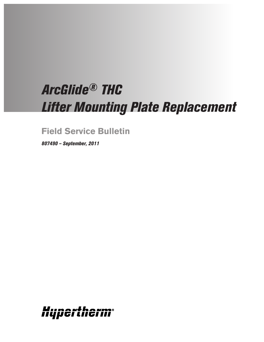# *ArcGlide® THC Lifter Mounting Plate Replacement*

**Field Service Bulletin**

*807490 – September, 2011*

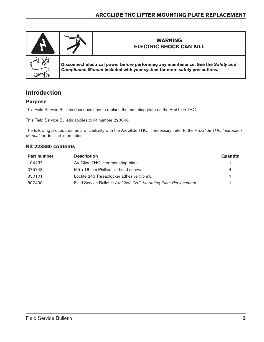

# **Introduction**

## **Purpose**

This Field Service Bulletin describes how to replace the mounting plate on the ArcGlide THC.

This Field Service Bulletin applies to kit number 228860.

The following procedures require familiarity with the ArcGlide THC. If necessary, refer to the *ArcGlide THC Instruction Manual* for detailed information.

### **Kit 228860 contents**

| <b>Part number</b> | <b>Description</b>                                              | Quantity |
|--------------------|-----------------------------------------------------------------|----------|
| 104437             | ArcGlide THC lifter mounting plate                              |          |
| 075748             | M5 x 16 mm Phillips flat head screws                            | 4        |
| 330101             | Loctite 243 Threadlocker adhesive 0.5 mL                        |          |
| 807490             | Field Service Bulletin: ArcGlide THC Mounting Plate Replacement |          |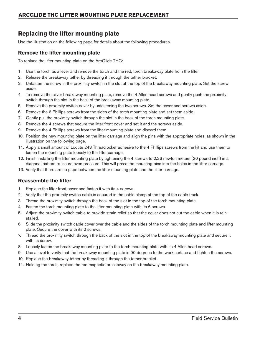# **Replacing the lifter mounting plate**

Use the illustration on the following page for details about the following procedures.

#### **Remove the lifter mounting plate**

To replace the lifter mounting plate on the ArcGlide THC:

- 1. Use the torch as a lever and remove the torch and the red, torch breakaway plate from the lifter.
- 2. Release the breakaway tether by threading it through the tether bracket.
- 3. Unfasten the screw in the proximity switch in the slot at the top of the breakaway mounting plate. Set the screw aside.
- 4. To remove the silver breakaway mounting plate, remove the 4 Allen head screws and gently push the proximity switch through the slot in the back of the breakaway mounting plate.
- 5. Remove the proximity switch cover by unfastening the two screws. Set the cover and screws aside.
- 6. Remove the 6 Phillips screws from the sides of the torch mounting plate and set them aside.
- 7. Gently pull the proximity switch through the slot in the back of the torch mounting plate.
- 8. Remove the 4 screws that secure the lifter front cover and set it and the screws aside.
- 9. Remove the 4 Phillips screws from the lifter mounting plate and discard them.
- 10. Position the new mounting plate on the lifter carriage and align the pins with the appropriate holes, as shown in the illustration on the following page.
- 11. Apply a small amount of Loctite 243 Threadlocker adhesive to the 4 Phillips screws from the kit and use them to fasten the mounting plate loosely to the lifter carriage.
- 12. Finish installing the lifter mounting plate by tightening the 4 screws to 2.26 newton meters (20 pound inch) in a diagonal pattern to insure even pressure. This will press the mounting pins into the holes in the lifter carriage.
- 13. Verify that there are no gaps between the lifter mounting plate and the lifter carriage.

#### **Reassemble the lifter**

- 1. Replace the lifter front cover and fasten it with its 4 screws.
- 2. Verify that the proximity switch cable is secured in the cable clamp at the top of the cable track.
- 3. Thread the proximity switch through the back of the slot in the top of the torch mounting plate.
- 4. Fasten the torch mounting plate to the lifter mounting plate with its 6 screws.
- 5. Adjust the proximity switch cable to provide strain relief so that the cover does not cut the cable when it is reinstalled.
- 6. Slide the proximity switch cable cover over the cable and the sides of the torch mounting plate and lifter mounting plate. Secure the cover with its 2 screws.
- 7. Thread the proximity switch through the back of the slot in the top of the breakaway mounting plate and secure it with its screw.
- 8. Loosely fasten the breakaway mounting plate to the torch mounting plate with its 4 Allen head screws.
- 9. Use a level to verify that the breakaway mounting plate is 90 degrees to the work surface and tighten the screws.
- 10. Replace the breakaway tether by threading it through the tether bracket.
- 11. Holding the torch, replace the red magnetic breakaway on the breakaway mounting plate.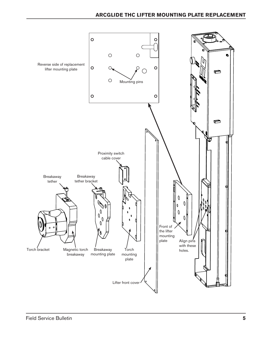## **ArcGlide THC Lifter Mounting Plate Replacement**